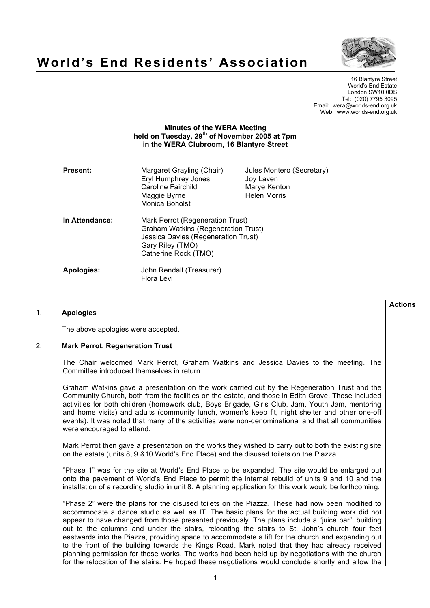

# **World's End Residents' Association**

16 Blantyre Street World's End Estate London SW10 0DS Tel: (020) 7795 3095 Email: wera@worlds-end.org.uk Web: www.worlds-end.org.uk

## **Minutes of the WERA Meeting held on Tuesday, 29th of November 2005 at 7pm in the WERA Clubroom, 16 Blantyre Street**

| <b>Present:</b>   | Margaret Grayling (Chair)<br>Eryl Humphrey Jones<br>Caroline Fairchild<br>Maggie Byrne<br>Monica Boholst                                                          | Jules Montero (Secretary)<br>Joy Laven<br>Marye Kenton<br><b>Helen Morris</b> |
|-------------------|-------------------------------------------------------------------------------------------------------------------------------------------------------------------|-------------------------------------------------------------------------------|
| In Attendance:    | Mark Perrot (Regeneration Trust)<br><b>Graham Watkins (Regeneration Trust)</b><br>Jessica Davies (Regeneration Trust)<br>Gary Riley (TMO)<br>Catherine Rock (TMO) |                                                                               |
| <b>Apologies:</b> | John Rendall (Treasurer)<br>Flora Levi                                                                                                                            |                                                                               |

## 1. **Apologies**

The above apologies were accepted.

## 2. **Mark Perrot, Regeneration Trust**

The Chair welcomed Mark Perrot, Graham Watkins and Jessica Davies to the meeting. The Committee introduced themselves in return.

Graham Watkins gave a presentation on the work carried out by the Regeneration Trust and the Community Church, both from the facilities on the estate, and those in Edith Grove. These included activities for both children (homework club, Boys Brigade, Girls Club, Jam, Youth Jam, mentoring and home visits) and adults (community lunch, women's keep fit, night shelter and other one-off events). It was noted that many of the activities were non-denominational and that all communities were encouraged to attend.

Mark Perrot then gave a presentation on the works they wished to carry out to both the existing site on the estate (units 8, 9 &10 World's End Place) and the disused toilets on the Piazza.

"Phase 1" was for the site at World's End Place to be expanded. The site would be enlarged out onto the pavement of World's End Place to permit the internal rebuild of units 9 and 10 and the installation of a recording studio in unit 8. A planning application for this work would be forthcoming.

"Phase 2" were the plans for the disused toilets on the Piazza. These had now been modified to accommodate a dance studio as well as IT. The basic plans for the actual building work did not appear to have changed from those presented previously. The plans include a "juice bar", building out to the columns and under the stairs, relocating the stairs to St. John's church four feet eastwards into the Piazza, providing space to accommodate a lift for the church and expanding out to the front of the building towards the Kings Road. Mark noted that they had already received planning permission for these works. The works had been held up by negotiations with the church for the relocation of the stairs. He hoped these negotiations would conclude shortly and allow the

**Actions**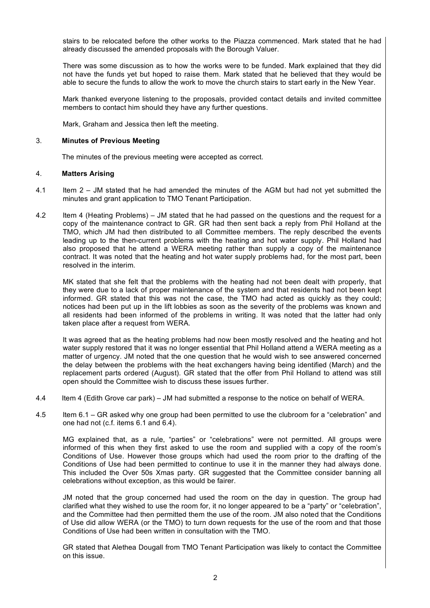stairs to be relocated before the other works to the Piazza commenced. Mark stated that he had already discussed the amended proposals with the Borough Valuer.

There was some discussion as to how the works were to be funded. Mark explained that they did not have the funds yet but hoped to raise them. Mark stated that he believed that they would be able to secure the funds to allow the work to move the church stairs to start early in the New Year.

Mark thanked everyone listening to the proposals, provided contact details and invited committee members to contact him should they have any further questions.

Mark, Graham and Jessica then left the meeting.

#### 3. **Minutes of Previous Meeting**

The minutes of the previous meeting were accepted as correct.

#### 4. **Matters Arising**

- 4.1 Item 2 JM stated that he had amended the minutes of the AGM but had not yet submitted the minutes and grant application to TMO Tenant Participation.
- 4.2 Item 4 (Heating Problems) JM stated that he had passed on the questions and the request for a copy of the maintenance contract to GR. GR had then sent back a reply from Phil Holland at the TMO, which JM had then distributed to all Committee members. The reply described the events leading up to the then-current problems with the heating and hot water supply. Phil Holland had also proposed that he attend a WERA meeting rather than supply a copy of the maintenance contract. It was noted that the heating and hot water supply problems had, for the most part, been resolved in the interim.

MK stated that she felt that the problems with the heating had not been dealt with properly, that they were due to a lack of proper maintenance of the system and that residents had not been kept informed. GR stated that this was not the case, the TMO had acted as quickly as they could; notices had been put up in the lift lobbies as soon as the severity of the problems was known and all residents had been informed of the problems in writing. It was noted that the latter had only taken place after a request from WERA.

It was agreed that as the heating problems had now been mostly resolved and the heating and hot water supply restored that it was no longer essential that Phil Holland attend a WERA meeting as a matter of urgency. JM noted that the one question that he would wish to see answered concerned the delay between the problems with the heat exchangers having being identified (March) and the replacement parts ordered (August). GR stated that the offer from Phil Holland to attend was still open should the Committee wish to discuss these issues further.

- 4.4 Item 4 (Edith Grove car park) JM had submitted a response to the notice on behalf of WERA.
- 4.5 Item 6.1 GR asked why one group had been permitted to use the clubroom for a "celebration" and one had not (c.f. items 6.1 and 6.4).

MG explained that, as a rule, "parties" or "celebrations" were not permitted. All groups were informed of this when they first asked to use the room and supplied with a copy of the room's Conditions of Use. However those groups which had used the room prior to the drafting of the Conditions of Use had been permitted to continue to use it in the manner they had always done. This included the Over 50s Xmas party. GR suggested that the Committee consider banning all celebrations without exception, as this would be fairer.

JM noted that the group concerned had used the room on the day in question. The group had clarified what they wished to use the room for, it no longer appeared to be a "party" or "celebration", and the Committee had then permitted them the use of the room. JM also noted that the Conditions of Use did allow WERA (or the TMO) to turn down requests for the use of the room and that those Conditions of Use had been written in consultation with the TMO.

GR stated that Alethea Dougall from TMO Tenant Participation was likely to contact the Committee on this issue.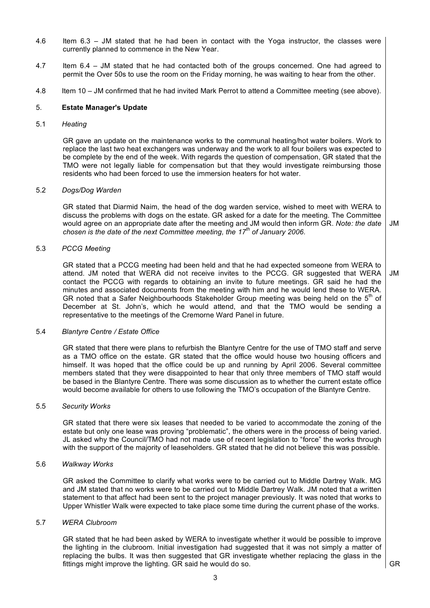- 4.6 Item 6.3 JM stated that he had been in contact with the Yoga instructor, the classes were currently planned to commence in the New Year.
- 4.7 Item 6.4 JM stated that he had contacted both of the groups concerned. One had agreed to permit the Over 50s to use the room on the Friday morning, he was waiting to hear from the other.
- 4.8 Item 10 JM confirmed that he had invited Mark Perrot to attend a Committee meeting (see above).

#### 5. **Estate Manager's Update**

5.1 *Heating*

GR gave an update on the maintenance works to the communal heating/hot water boilers. Work to replace the last two heat exchangers was underway and the work to all four boilers was expected to be complete by the end of the week. With regards the question of compensation, GR stated that the TMO were not legally liable for compensation but that they would investigate reimbursing those residents who had been forced to use the immersion heaters for hot water.

#### 5.2 *Dogs/Dog Warden*

GR stated that Diarmid Naim, the head of the dog warden service, wished to meet with WERA to discuss the problems with dogs on the estate. GR asked for a date for the meeting. The Committee would agree on an appropriate date after the meeting and JM would then inform GR. *Note: the date chosen is the date of the next Committee meeting, the 17th of January 2006.*

#### 5.3 *PCCG Meeting*

GR stated that a PCCG meeting had been held and that he had expected someone from WERA to attend. JM noted that WERA did not receive invites to the PCCG. GR suggested that WERA contact the PCCG with regards to obtaining an invite to future meetings. GR said he had the minutes and associated documents from the meeting with him and he would lend these to WERA. GR noted that a Safer Neighbourhoods Stakeholder Group meeting was being held on the  $5<sup>th</sup>$  of December at St. John's, which he would attend, and that the TMO would be sending a representative to the meetings of the Cremorne Ward Panel in future.

#### 5.4 *Blantyre Centre / Estate Office*

GR stated that there were plans to refurbish the Blantyre Centre for the use of TMO staff and serve as a TMO office on the estate. GR stated that the office would house two housing officers and himself. It was hoped that the office could be up and running by April 2006. Several committee members stated that they were disappointed to hear that only three members of TMO staff would be based in the Blantyre Centre. There was some discussion as to whether the current estate office would become available for others to use following the TMO's occupation of the Blantyre Centre.

## 5.5 *Security Works*

GR stated that there were six leases that needed to be varied to accommodate the zoning of the estate but only one lease was proving "problematic", the others were in the process of being varied. JL asked why the Council/TMO had not made use of recent legislation to "force" the works through with the support of the majority of leaseholders. GR stated that he did not believe this was possible.

#### 5.6 *Walkway Works*

GR asked the Committee to clarify what works were to be carried out to Middle Dartrey Walk. MG and JM stated that no works were to be carried out to Middle Dartrey Walk. JM noted that a written statement to that affect had been sent to the project manager previously. It was noted that works to Upper Whistler Walk were expected to take place some time during the current phase of the works.

#### 5.7 *WERA Clubroom*

GR stated that he had been asked by WERA to investigate whether it would be possible to improve the lighting in the clubroom. Initial investigation had suggested that it was not simply a matter of replacing the bulbs. It was then suggested that GR investigate whether replacing the glass in the fittings might improve the lighting. GR said he would do so.

GR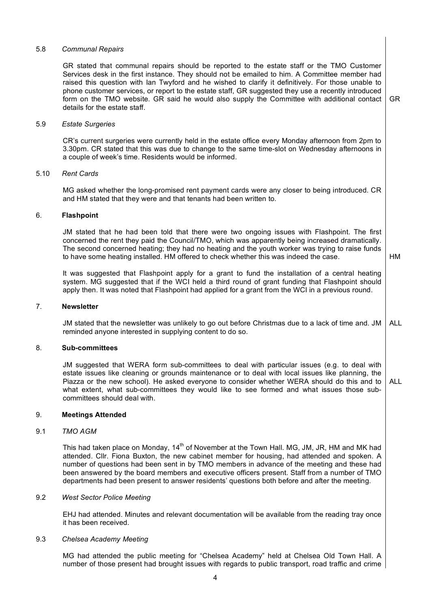#### 5.8 *Communal Repairs*

GR stated that communal repairs should be reported to the estate staff or the TMO Customer Services desk in the first instance. They should not be emailed to him. A Committee member had raised this question with Ian Twyford and he wished to clarify it definitively. For those unable to phone customer services, or report to the estate staff, GR suggested they use a recently introduced form on the TMO website. GR said he would also supply the Committee with additional contact details for the estate staff.

GR

HM

#### 5.9 *Estate Surgeries*

CR's current surgeries were currently held in the estate office every Monday afternoon from 2pm to 3.30pm. CR stated that this was due to change to the same time-slot on Wednesday afternoons in a couple of week's time. Residents would be informed.

#### 5.10 *Rent Cards*

MG asked whether the long-promised rent payment cards were any closer to being introduced. CR and HM stated that they were and that tenants had been written to.

## 6. **Flashpoint**

JM stated that he had been told that there were two ongoing issues with Flashpoint. The first concerned the rent they paid the Council/TMO, which was apparently being increased dramatically. The second concerned heating; they had no heating and the youth worker was trying to raise funds to have some heating installed. HM offered to check whether this was indeed the case.

It was suggested that Flashpoint apply for a grant to fund the installation of a central heating system. MG suggested that if the WCI held a third round of grant funding that Flashpoint should apply then. It was noted that Flashpoint had applied for a grant from the WCI in a previous round.

#### 7. **Newsletter**

JM stated that the newsletter was unlikely to go out before Christmas due to a lack of time and. JM reminded anyone interested in supplying content to do so. ALL

## 8. **Sub-committees**

JM suggested that WERA form sub-committees to deal with particular issues (e.g. to deal with estate issues like cleaning or grounds maintenance or to deal with local issues like planning, the Piazza or the new school). He asked everyone to consider whether WERA should do this and to what extent, what sub-committees they would like to see formed and what issues those subcommittees should deal with. ALL

### 9. **Meetings Attended**

## 9.1 *TMO AGM*

This had taken place on Monday, 14<sup>th</sup> of November at the Town Hall, MG, JM, JR, HM and MK had attended. Cllr. Fiona Buxton, the new cabinet member for housing, had attended and spoken. A number of questions had been sent in by TMO members in advance of the meeting and these had been answered by the board members and executive officers present. Staff from a number of TMO departments had been present to answer residents' questions both before and after the meeting.

#### 9.2 *West Sector Police Meeting*

EHJ had attended. Minutes and relevant documentation will be available from the reading tray once it has been received.

## 9.3 *Chelsea Academy Meeting*

MG had attended the public meeting for "Chelsea Academy" held at Chelsea Old Town Hall. A number of those present had brought issues with regards to public transport, road traffic and crime